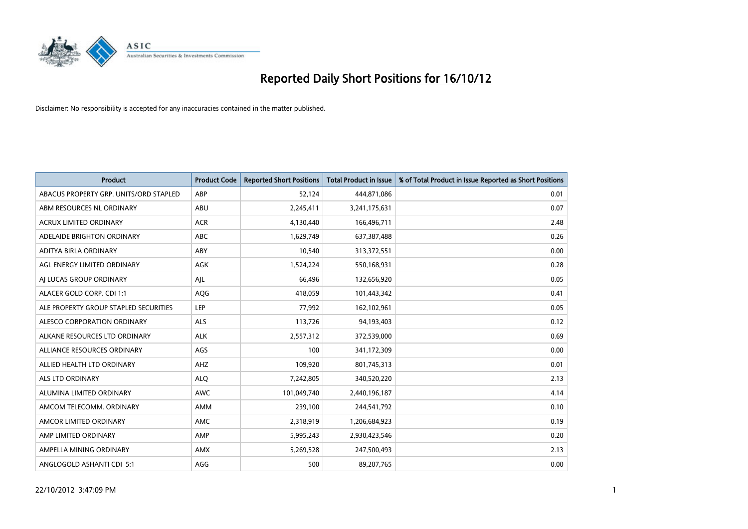

| <b>Product</b>                         | <b>Product Code</b> | <b>Reported Short Positions</b> | <b>Total Product in Issue</b> | % of Total Product in Issue Reported as Short Positions |
|----------------------------------------|---------------------|---------------------------------|-------------------------------|---------------------------------------------------------|
| ABACUS PROPERTY GRP. UNITS/ORD STAPLED | ABP                 | 52,124                          | 444,871,086                   | 0.01                                                    |
| ABM RESOURCES NL ORDINARY              | ABU                 | 2,245,411                       | 3,241,175,631                 | 0.07                                                    |
| <b>ACRUX LIMITED ORDINARY</b>          | <b>ACR</b>          | 4,130,440                       | 166,496,711                   | 2.48                                                    |
| ADELAIDE BRIGHTON ORDINARY             | ABC                 | 1,629,749                       | 637,387,488                   | 0.26                                                    |
| <b>ADITYA BIRLA ORDINARY</b>           | ABY                 | 10,540                          | 313,372,551                   | 0.00                                                    |
| AGL ENERGY LIMITED ORDINARY            | AGK                 | 1,524,224                       | 550,168,931                   | 0.28                                                    |
| AI LUCAS GROUP ORDINARY                | AJL                 | 66,496                          | 132,656,920                   | 0.05                                                    |
| ALACER GOLD CORP. CDI 1:1              | AQG                 | 418,059                         | 101,443,342                   | 0.41                                                    |
| ALE PROPERTY GROUP STAPLED SECURITIES  | LEP                 | 77,992                          | 162,102,961                   | 0.05                                                    |
| ALESCO CORPORATION ORDINARY            | <b>ALS</b>          | 113,726                         | 94,193,403                    | 0.12                                                    |
| ALKANE RESOURCES LTD ORDINARY          | <b>ALK</b>          | 2,557,312                       | 372,539,000                   | 0.69                                                    |
| ALLIANCE RESOURCES ORDINARY            | AGS                 | 100                             | 341,172,309                   | 0.00                                                    |
| ALLIED HEALTH LTD ORDINARY             | AHZ                 | 109,920                         | 801,745,313                   | 0.01                                                    |
| <b>ALS LTD ORDINARY</b>                | <b>ALO</b>          | 7,242,805                       | 340,520,220                   | 2.13                                                    |
| ALUMINA LIMITED ORDINARY               | <b>AWC</b>          | 101,049,740                     | 2,440,196,187                 | 4.14                                                    |
| AMCOM TELECOMM. ORDINARY               | <b>AMM</b>          | 239,100                         | 244,541,792                   | 0.10                                                    |
| AMCOR LIMITED ORDINARY                 | <b>AMC</b>          | 2,318,919                       | 1,206,684,923                 | 0.19                                                    |
| AMP LIMITED ORDINARY                   | AMP                 | 5,995,243                       | 2,930,423,546                 | 0.20                                                    |
| AMPELLA MINING ORDINARY                | <b>AMX</b>          | 5,269,528                       | 247,500,493                   | 2.13                                                    |
| ANGLOGOLD ASHANTI CDI 5:1              | AGG                 | 500                             | 89,207,765                    | 0.00                                                    |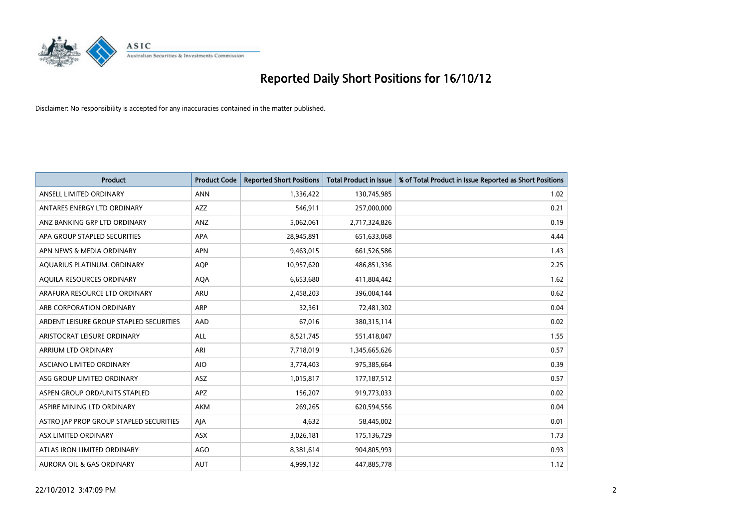

| <b>Product</b>                          | <b>Product Code</b> | <b>Reported Short Positions</b> | <b>Total Product in Issue</b> | % of Total Product in Issue Reported as Short Positions |
|-----------------------------------------|---------------------|---------------------------------|-------------------------------|---------------------------------------------------------|
| ANSELL LIMITED ORDINARY                 | <b>ANN</b>          | 1,336,422                       | 130,745,985                   | 1.02                                                    |
| ANTARES ENERGY LTD ORDINARY             | <b>AZZ</b>          | 546,911                         | 257,000,000                   | 0.21                                                    |
| ANZ BANKING GRP LTD ORDINARY            | ANZ                 | 5,062,061                       | 2,717,324,826                 | 0.19                                                    |
| APA GROUP STAPLED SECURITIES            | APA                 | 28,945,891                      | 651,633,068                   | 4.44                                                    |
| APN NEWS & MEDIA ORDINARY               | <b>APN</b>          | 9,463,015                       | 661,526,586                   | 1.43                                                    |
| AQUARIUS PLATINUM. ORDINARY             | <b>AOP</b>          | 10,957,620                      | 486,851,336                   | 2.25                                                    |
| AQUILA RESOURCES ORDINARY               | <b>AQA</b>          | 6,653,680                       | 411,804,442                   | 1.62                                                    |
| ARAFURA RESOURCE LTD ORDINARY           | ARU                 | 2,458,203                       | 396,004,144                   | 0.62                                                    |
| ARB CORPORATION ORDINARY                | <b>ARP</b>          | 32,361                          | 72,481,302                    | 0.04                                                    |
| ARDENT LEISURE GROUP STAPLED SECURITIES | AAD                 | 67,016                          | 380, 315, 114                 | 0.02                                                    |
| ARISTOCRAT LEISURE ORDINARY             | ALL                 | 8,521,745                       | 551,418,047                   | 1.55                                                    |
| ARRIUM LTD ORDINARY                     | ARI                 | 7,718,019                       | 1,345,665,626                 | 0.57                                                    |
| ASCIANO LIMITED ORDINARY                | <b>AIO</b>          | 3,774,403                       | 975,385,664                   | 0.39                                                    |
| ASG GROUP LIMITED ORDINARY              | ASZ                 | 1,015,817                       | 177, 187, 512                 | 0.57                                                    |
| ASPEN GROUP ORD/UNITS STAPLED           | <b>APZ</b>          | 156,207                         | 919,773,033                   | 0.02                                                    |
| ASPIRE MINING LTD ORDINARY              | <b>AKM</b>          | 269,265                         | 620,594,556                   | 0.04                                                    |
| ASTRO JAP PROP GROUP STAPLED SECURITIES | AIA                 | 4,632                           | 58,445,002                    | 0.01                                                    |
| ASX LIMITED ORDINARY                    | <b>ASX</b>          | 3,026,181                       | 175,136,729                   | 1.73                                                    |
| ATLAS IRON LIMITED ORDINARY             | AGO                 | 8,381,614                       | 904,805,993                   | 0.93                                                    |
| AURORA OIL & GAS ORDINARY               | <b>AUT</b>          | 4,999,132                       | 447,885,778                   | 1.12                                                    |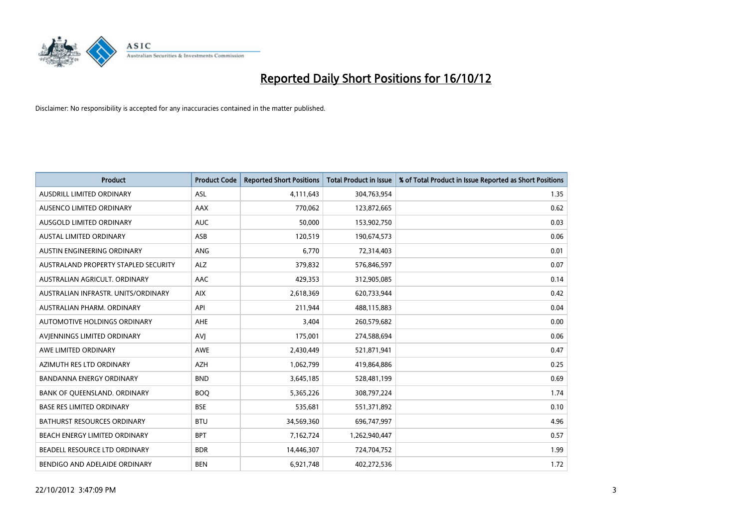

| <b>Product</b>                       | <b>Product Code</b> | <b>Reported Short Positions</b> | <b>Total Product in Issue</b> | % of Total Product in Issue Reported as Short Positions |
|--------------------------------------|---------------------|---------------------------------|-------------------------------|---------------------------------------------------------|
| AUSDRILL LIMITED ORDINARY            | <b>ASL</b>          | 4,111,643                       | 304,763,954                   | 1.35                                                    |
| AUSENCO LIMITED ORDINARY             | <b>AAX</b>          | 770,062                         | 123,872,665                   | 0.62                                                    |
| <b>AUSGOLD LIMITED ORDINARY</b>      | <b>AUC</b>          | 50,000                          | 153,902,750                   | 0.03                                                    |
| AUSTAL LIMITED ORDINARY              | ASB                 | 120,519                         | 190,674,573                   | 0.06                                                    |
| AUSTIN ENGINEERING ORDINARY          | <b>ANG</b>          | 6,770                           | 72,314,403                    | 0.01                                                    |
| AUSTRALAND PROPERTY STAPLED SECURITY | <b>ALZ</b>          | 379,832                         | 576,846,597                   | 0.07                                                    |
| AUSTRALIAN AGRICULT, ORDINARY        | AAC                 | 429,353                         | 312,905,085                   | 0.14                                                    |
| AUSTRALIAN INFRASTR. UNITS/ORDINARY  | <b>AIX</b>          | 2,618,369                       | 620,733,944                   | 0.42                                                    |
| AUSTRALIAN PHARM, ORDINARY           | API                 | 211,944                         | 488,115,883                   | 0.04                                                    |
| AUTOMOTIVE HOLDINGS ORDINARY         | <b>AHE</b>          | 3,404                           | 260,579,682                   | 0.00                                                    |
| AVIENNINGS LIMITED ORDINARY          | AVI                 | 175,001                         | 274,588,694                   | 0.06                                                    |
| AWE LIMITED ORDINARY                 | <b>AWE</b>          | 2,430,449                       | 521,871,941                   | 0.47                                                    |
| AZIMUTH RES LTD ORDINARY             | <b>AZH</b>          | 1,062,799                       | 419,864,886                   | 0.25                                                    |
| <b>BANDANNA ENERGY ORDINARY</b>      | <b>BND</b>          | 3,645,185                       | 528,481,199                   | 0.69                                                    |
| BANK OF QUEENSLAND. ORDINARY         | <b>BOQ</b>          | 5,365,226                       | 308,797,224                   | 1.74                                                    |
| <b>BASE RES LIMITED ORDINARY</b>     | <b>BSE</b>          | 535,681                         | 551,371,892                   | 0.10                                                    |
| BATHURST RESOURCES ORDINARY          | <b>BTU</b>          | 34,569,360                      | 696,747,997                   | 4.96                                                    |
| BEACH ENERGY LIMITED ORDINARY        | <b>BPT</b>          | 7,162,724                       | 1,262,940,447                 | 0.57                                                    |
| BEADELL RESOURCE LTD ORDINARY        | <b>BDR</b>          | 14,446,307                      | 724,704,752                   | 1.99                                                    |
| BENDIGO AND ADELAIDE ORDINARY        | <b>BEN</b>          | 6,921,748                       | 402,272,536                   | 1.72                                                    |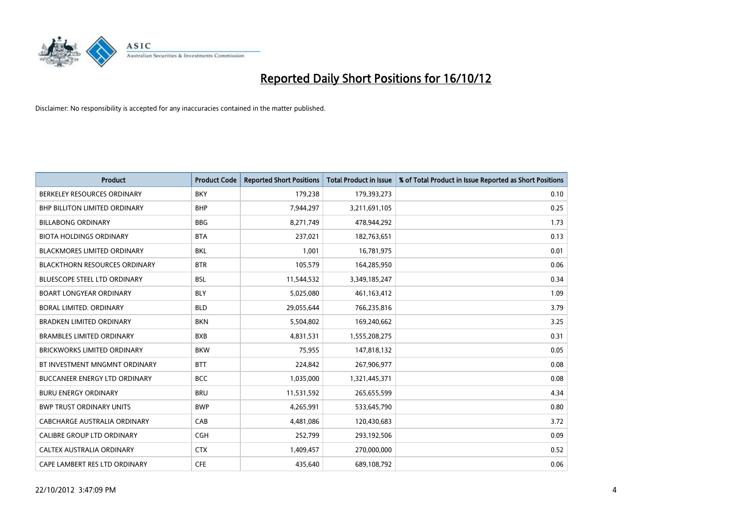

| <b>Product</b>                       | <b>Product Code</b> | <b>Reported Short Positions</b> | <b>Total Product in Issue</b> | % of Total Product in Issue Reported as Short Positions |
|--------------------------------------|---------------------|---------------------------------|-------------------------------|---------------------------------------------------------|
| BERKELEY RESOURCES ORDINARY          | <b>BKY</b>          | 179,238                         | 179,393,273                   | 0.10                                                    |
| <b>BHP BILLITON LIMITED ORDINARY</b> | <b>BHP</b>          | 7,944,297                       | 3,211,691,105                 | 0.25                                                    |
| <b>BILLABONG ORDINARY</b>            | <b>BBG</b>          | 8,271,749                       | 478,944,292                   | 1.73                                                    |
| <b>BIOTA HOLDINGS ORDINARY</b>       | <b>BTA</b>          | 237,021                         | 182,763,651                   | 0.13                                                    |
| <b>BLACKMORES LIMITED ORDINARY</b>   | <b>BKL</b>          | 1.001                           | 16,781,975                    | 0.01                                                    |
| <b>BLACKTHORN RESOURCES ORDINARY</b> | <b>BTR</b>          | 105,579                         | 164,285,950                   | 0.06                                                    |
| <b>BLUESCOPE STEEL LTD ORDINARY</b>  | <b>BSL</b>          | 11,544,532                      | 3,349,185,247                 | 0.34                                                    |
| <b>BOART LONGYEAR ORDINARY</b>       | <b>BLY</b>          | 5,025,080                       | 461,163,412                   | 1.09                                                    |
| BORAL LIMITED. ORDINARY              | <b>BLD</b>          | 29,055,644                      | 766,235,816                   | 3.79                                                    |
| <b>BRADKEN LIMITED ORDINARY</b>      | <b>BKN</b>          | 5,504,802                       | 169,240,662                   | 3.25                                                    |
| <b>BRAMBLES LIMITED ORDINARY</b>     | <b>BXB</b>          | 4,831,531                       | 1,555,208,275                 | 0.31                                                    |
| <b>BRICKWORKS LIMITED ORDINARY</b>   | <b>BKW</b>          | 75,955                          | 147,818,132                   | 0.05                                                    |
| BT INVESTMENT MNGMNT ORDINARY        | <b>BTT</b>          | 224,842                         | 267,906,977                   | 0.08                                                    |
| <b>BUCCANEER ENERGY LTD ORDINARY</b> | <b>BCC</b>          | 1,035,000                       | 1,321,445,371                 | 0.08                                                    |
| <b>BURU ENERGY ORDINARY</b>          | <b>BRU</b>          | 11,531,592                      | 265,655,599                   | 4.34                                                    |
| <b>BWP TRUST ORDINARY UNITS</b>      | <b>BWP</b>          | 4,265,991                       | 533,645,790                   | 0.80                                                    |
| CABCHARGE AUSTRALIA ORDINARY         | CAB                 | 4,481,086                       | 120,430,683                   | 3.72                                                    |
| CALIBRE GROUP LTD ORDINARY           | <b>CGH</b>          | 252,799                         | 293,192,506                   | 0.09                                                    |
| <b>CALTEX AUSTRALIA ORDINARY</b>     | <b>CTX</b>          | 1,409,457                       | 270,000,000                   | 0.52                                                    |
| CAPE LAMBERT RES LTD ORDINARY        | <b>CFE</b>          | 435.640                         | 689,108,792                   | 0.06                                                    |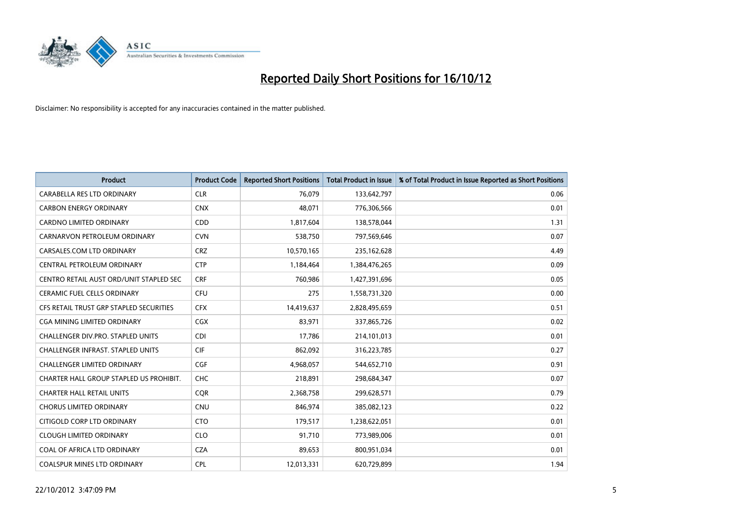

| <b>Product</b>                           | <b>Product Code</b> | <b>Reported Short Positions</b> | <b>Total Product in Issue</b> | % of Total Product in Issue Reported as Short Positions |
|------------------------------------------|---------------------|---------------------------------|-------------------------------|---------------------------------------------------------|
| <b>CARABELLA RES LTD ORDINARY</b>        | <b>CLR</b>          | 76.079                          | 133,642,797                   | 0.06                                                    |
| <b>CARBON ENERGY ORDINARY</b>            | <b>CNX</b>          | 48,071                          | 776,306,566                   | 0.01                                                    |
| <b>CARDNO LIMITED ORDINARY</b>           | CDD                 | 1,817,604                       | 138,578,044                   | 1.31                                                    |
| CARNARVON PETROLEUM ORDINARY             | <b>CVN</b>          | 538,750                         | 797,569,646                   | 0.07                                                    |
| CARSALES.COM LTD ORDINARY                | <b>CRZ</b>          | 10,570,165                      | 235,162,628                   | 4.49                                                    |
| CENTRAL PETROLEUM ORDINARY               | <b>CTP</b>          | 1,184,464                       | 1,384,476,265                 | 0.09                                                    |
| CENTRO RETAIL AUST ORD/UNIT STAPLED SEC  | <b>CRF</b>          | 760,986                         | 1,427,391,696                 | 0.05                                                    |
| <b>CERAMIC FUEL CELLS ORDINARY</b>       | <b>CFU</b>          | 275                             | 1,558,731,320                 | 0.00                                                    |
| CFS RETAIL TRUST GRP STAPLED SECURITIES  | <b>CFX</b>          | 14,419,637                      | 2,828,495,659                 | 0.51                                                    |
| <b>CGA MINING LIMITED ORDINARY</b>       | <b>CGX</b>          | 83,971                          | 337,865,726                   | 0.02                                                    |
| CHALLENGER DIV.PRO. STAPLED UNITS        | <b>CDI</b>          | 17,786                          | 214,101,013                   | 0.01                                                    |
| <b>CHALLENGER INFRAST, STAPLED UNITS</b> | <b>CIF</b>          | 862,092                         | 316,223,785                   | 0.27                                                    |
| <b>CHALLENGER LIMITED ORDINARY</b>       | CGF                 | 4,968,057                       | 544,652,710                   | 0.91                                                    |
| CHARTER HALL GROUP STAPLED US PROHIBIT.  | <b>CHC</b>          | 218,891                         | 298,684,347                   | 0.07                                                    |
| <b>CHARTER HALL RETAIL UNITS</b>         | <b>COR</b>          | 2,368,758                       | 299,628,571                   | 0.79                                                    |
| <b>CHORUS LIMITED ORDINARY</b>           | <b>CNU</b>          | 846,974                         | 385,082,123                   | 0.22                                                    |
| CITIGOLD CORP LTD ORDINARY               | <b>CTO</b>          | 179,517                         | 1,238,622,051                 | 0.01                                                    |
| <b>CLOUGH LIMITED ORDINARY</b>           | <b>CLO</b>          | 91,710                          | 773,989,006                   | 0.01                                                    |
| COAL OF AFRICA LTD ORDINARY              | <b>CZA</b>          | 89,653                          | 800,951,034                   | 0.01                                                    |
| <b>COALSPUR MINES LTD ORDINARY</b>       | CPL                 | 12,013,331                      | 620,729,899                   | 1.94                                                    |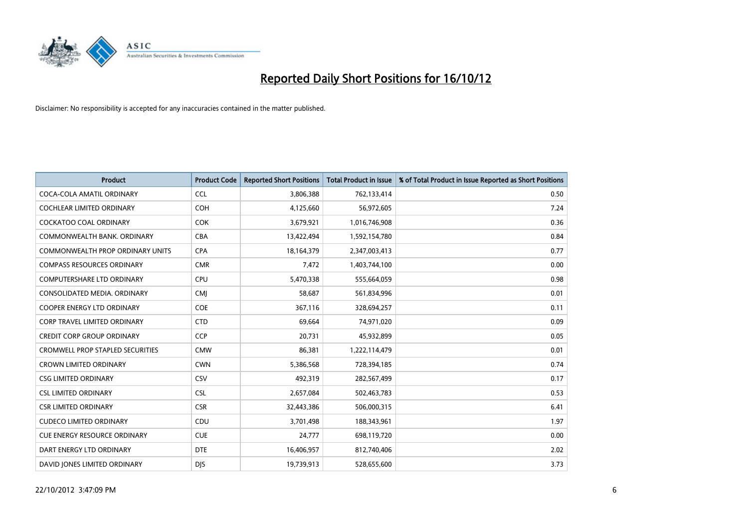

| <b>Product</b>                          | <b>Product Code</b> | <b>Reported Short Positions</b> | <b>Total Product in Issue</b> | % of Total Product in Issue Reported as Short Positions |
|-----------------------------------------|---------------------|---------------------------------|-------------------------------|---------------------------------------------------------|
| COCA-COLA AMATIL ORDINARY               | <b>CCL</b>          | 3,806,388                       | 762,133,414                   | 0.50                                                    |
| COCHLEAR LIMITED ORDINARY               | <b>COH</b>          | 4,125,660                       | 56,972,605                    | 7.24                                                    |
| COCKATOO COAL ORDINARY                  | <b>COK</b>          | 3,679,921                       | 1,016,746,908                 | 0.36                                                    |
| COMMONWEALTH BANK, ORDINARY             | <b>CBA</b>          | 13,422,494                      | 1,592,154,780                 | 0.84                                                    |
| <b>COMMONWEALTH PROP ORDINARY UNITS</b> | <b>CPA</b>          | 18,164,379                      | 2,347,003,413                 | 0.77                                                    |
| <b>COMPASS RESOURCES ORDINARY</b>       | <b>CMR</b>          | 7,472                           | 1,403,744,100                 | 0.00                                                    |
| <b>COMPUTERSHARE LTD ORDINARY</b>       | CPU                 | 5,470,338                       | 555,664,059                   | 0.98                                                    |
| CONSOLIDATED MEDIA, ORDINARY            | <b>CMI</b>          | 58,687                          | 561,834,996                   | 0.01                                                    |
| <b>COOPER ENERGY LTD ORDINARY</b>       | <b>COE</b>          | 367,116                         | 328,694,257                   | 0.11                                                    |
| <b>CORP TRAVEL LIMITED ORDINARY</b>     | <b>CTD</b>          | 69,664                          | 74,971,020                    | 0.09                                                    |
| <b>CREDIT CORP GROUP ORDINARY</b>       | <b>CCP</b>          | 20,731                          | 45,932,899                    | 0.05                                                    |
| <b>CROMWELL PROP STAPLED SECURITIES</b> | <b>CMW</b>          | 86,381                          | 1,222,114,479                 | 0.01                                                    |
| <b>CROWN LIMITED ORDINARY</b>           | <b>CWN</b>          | 5,386,568                       | 728,394,185                   | 0.74                                                    |
| <b>CSG LIMITED ORDINARY</b>             | <b>CSV</b>          | 492,319                         | 282,567,499                   | 0.17                                                    |
| <b>CSL LIMITED ORDINARY</b>             | <b>CSL</b>          | 2,657,084                       | 502,463,783                   | 0.53                                                    |
| <b>CSR LIMITED ORDINARY</b>             | <b>CSR</b>          | 32,443,386                      | 506,000,315                   | 6.41                                                    |
| <b>CUDECO LIMITED ORDINARY</b>          | CDU                 | 3,701,498                       | 188,343,961                   | 1.97                                                    |
| <b>CUE ENERGY RESOURCE ORDINARY</b>     | <b>CUE</b>          | 24,777                          | 698,119,720                   | 0.00                                                    |
| DART ENERGY LTD ORDINARY                | <b>DTE</b>          | 16,406,957                      | 812,740,406                   | 2.02                                                    |
| DAVID JONES LIMITED ORDINARY            | <b>DIS</b>          | 19,739,913                      | 528,655,600                   | 3.73                                                    |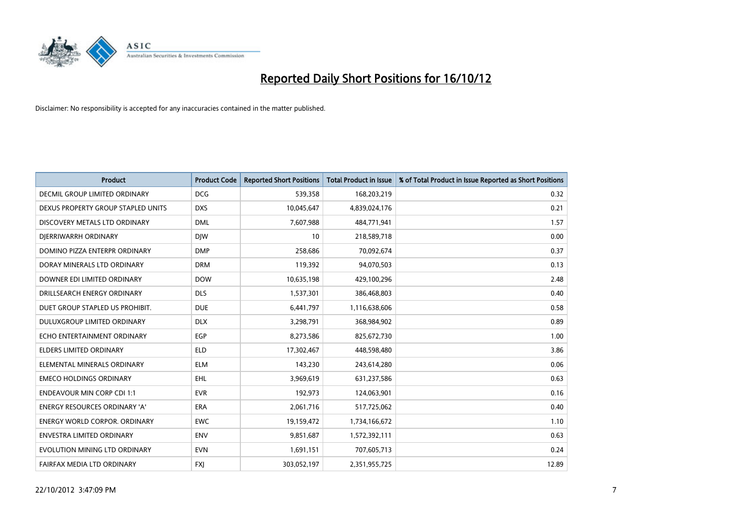

| <b>Product</b>                       | <b>Product Code</b> | <b>Reported Short Positions</b> | <b>Total Product in Issue</b> | % of Total Product in Issue Reported as Short Positions |
|--------------------------------------|---------------------|---------------------------------|-------------------------------|---------------------------------------------------------|
| <b>DECMIL GROUP LIMITED ORDINARY</b> | <b>DCG</b>          | 539,358                         | 168,203,219                   | 0.32                                                    |
| DEXUS PROPERTY GROUP STAPLED UNITS   | <b>DXS</b>          | 10,045,647                      | 4,839,024,176                 | 0.21                                                    |
| DISCOVERY METALS LTD ORDINARY        | <b>DML</b>          | 7,607,988                       | 484,771,941                   | 1.57                                                    |
| DJERRIWARRH ORDINARY                 | <b>DIW</b>          | 10                              | 218,589,718                   | 0.00                                                    |
| DOMINO PIZZA ENTERPR ORDINARY        | <b>DMP</b>          | 258,686                         | 70,092,674                    | 0.37                                                    |
| DORAY MINERALS LTD ORDINARY          | <b>DRM</b>          | 119,392                         | 94,070,503                    | 0.13                                                    |
| DOWNER EDI LIMITED ORDINARY          | <b>DOW</b>          | 10,635,198                      | 429,100,296                   | 2.48                                                    |
| DRILLSEARCH ENERGY ORDINARY          | <b>DLS</b>          | 1,537,301                       | 386,468,803                   | 0.40                                                    |
| DUET GROUP STAPLED US PROHIBIT.      | <b>DUE</b>          | 6,441,797                       | 1,116,638,606                 | 0.58                                                    |
| DULUXGROUP LIMITED ORDINARY          | <b>DLX</b>          | 3,298,791                       | 368,984,902                   | 0.89                                                    |
| ECHO ENTERTAINMENT ORDINARY          | EGP                 | 8,273,586                       | 825,672,730                   | 1.00                                                    |
| ELDERS LIMITED ORDINARY              | <b>ELD</b>          | 17,302,467                      | 448,598,480                   | 3.86                                                    |
| ELEMENTAL MINERALS ORDINARY          | <b>ELM</b>          | 143,230                         | 243,614,280                   | 0.06                                                    |
| <b>EMECO HOLDINGS ORDINARY</b>       | <b>EHL</b>          | 3,969,619                       | 631,237,586                   | 0.63                                                    |
| <b>ENDEAVOUR MIN CORP CDI 1:1</b>    | <b>EVR</b>          | 192,973                         | 124,063,901                   | 0.16                                                    |
| <b>ENERGY RESOURCES ORDINARY 'A'</b> | <b>ERA</b>          | 2,061,716                       | 517,725,062                   | 0.40                                                    |
| <b>ENERGY WORLD CORPOR, ORDINARY</b> | <b>EWC</b>          | 19,159,472                      | 1,734,166,672                 | 1.10                                                    |
| ENVESTRA LIMITED ORDINARY            | <b>ENV</b>          | 9,851,687                       | 1,572,392,111                 | 0.63                                                    |
| EVOLUTION MINING LTD ORDINARY        | <b>EVN</b>          | 1,691,151                       | 707,605,713                   | 0.24                                                    |
| FAIRFAX MEDIA LTD ORDINARY           | <b>FXI</b>          | 303,052,197                     | 2,351,955,725                 | 12.89                                                   |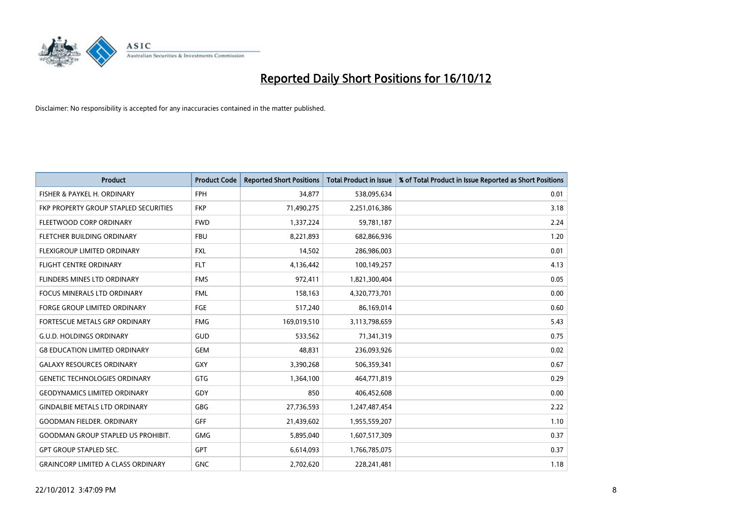

| <b>Product</b>                            | <b>Product Code</b> | <b>Reported Short Positions</b> | <b>Total Product in Issue</b> | % of Total Product in Issue Reported as Short Positions |
|-------------------------------------------|---------------------|---------------------------------|-------------------------------|---------------------------------------------------------|
| FISHER & PAYKEL H. ORDINARY               | <b>FPH</b>          | 34,877                          | 538,095,634                   | 0.01                                                    |
| FKP PROPERTY GROUP STAPLED SECURITIES     | <b>FKP</b>          | 71,490,275                      | 2,251,016,386                 | 3.18                                                    |
| FLEETWOOD CORP ORDINARY                   | <b>FWD</b>          | 1,337,224                       | 59,781,187                    | 2.24                                                    |
| FLETCHER BUILDING ORDINARY                | <b>FBU</b>          | 8,221,893                       | 682,866,936                   | 1.20                                                    |
| <b>FLEXIGROUP LIMITED ORDINARY</b>        | <b>FXL</b>          | 14,502                          | 286,986,003                   | 0.01                                                    |
| <b>FLIGHT CENTRE ORDINARY</b>             | <b>FLT</b>          | 4,136,442                       | 100,149,257                   | 4.13                                                    |
| <b>FLINDERS MINES LTD ORDINARY</b>        | <b>FMS</b>          | 972,411                         | 1,821,300,404                 | 0.05                                                    |
| <b>FOCUS MINERALS LTD ORDINARY</b>        | <b>FML</b>          | 158,163                         | 4,320,773,701                 | 0.00                                                    |
| FORGE GROUP LIMITED ORDINARY              | FGE                 | 517,240                         | 86,169,014                    | 0.60                                                    |
| FORTESCUE METALS GRP ORDINARY             | <b>FMG</b>          | 169,019,510                     | 3,113,798,659                 | 5.43                                                    |
| <b>G.U.D. HOLDINGS ORDINARY</b>           | GUD                 | 533,562                         | 71,341,319                    | 0.75                                                    |
| <b>G8 EDUCATION LIMITED ORDINARY</b>      | GEM                 | 48,831                          | 236,093,926                   | 0.02                                                    |
| <b>GALAXY RESOURCES ORDINARY</b>          | GXY                 | 3,390,268                       | 506,359,341                   | 0.67                                                    |
| <b>GENETIC TECHNOLOGIES ORDINARY</b>      | <b>GTG</b>          | 1,364,100                       | 464,771,819                   | 0.29                                                    |
| <b>GEODYNAMICS LIMITED ORDINARY</b>       | GDY                 | 850                             | 406,452,608                   | 0.00                                                    |
| <b>GINDALBIE METALS LTD ORDINARY</b>      | GBG                 | 27,736,593                      | 1,247,487,454                 | 2.22                                                    |
| <b>GOODMAN FIELDER, ORDINARY</b>          | GFF                 | 21,439,602                      | 1,955,559,207                 | 1.10                                                    |
| <b>GOODMAN GROUP STAPLED US PROHIBIT.</b> | <b>GMG</b>          | 5,895,040                       | 1,607,517,309                 | 0.37                                                    |
| <b>GPT GROUP STAPLED SEC.</b>             | <b>GPT</b>          | 6,614,093                       | 1,766,785,075                 | 0.37                                                    |
| <b>GRAINCORP LIMITED A CLASS ORDINARY</b> | <b>GNC</b>          | 2.702.620                       | 228,241,481                   | 1.18                                                    |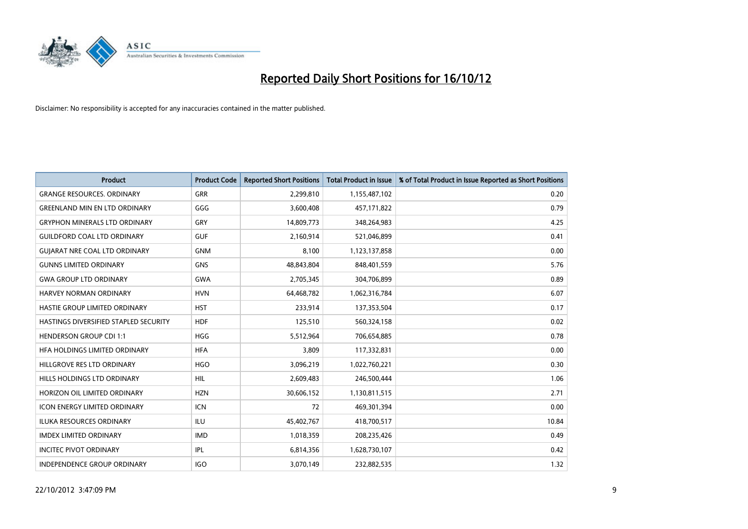

| <b>Product</b>                        | <b>Product Code</b> | <b>Reported Short Positions</b> | <b>Total Product in Issue</b> | % of Total Product in Issue Reported as Short Positions |
|---------------------------------------|---------------------|---------------------------------|-------------------------------|---------------------------------------------------------|
| <b>GRANGE RESOURCES, ORDINARY</b>     | <b>GRR</b>          | 2,299,810                       | 1,155,487,102                 | 0.20                                                    |
| <b>GREENLAND MIN EN LTD ORDINARY</b>  | GGG                 | 3,600,408                       | 457,171,822                   | 0.79                                                    |
| <b>GRYPHON MINERALS LTD ORDINARY</b>  | GRY                 | 14,809,773                      | 348,264,983                   | 4.25                                                    |
| <b>GUILDFORD COAL LTD ORDINARY</b>    | <b>GUF</b>          | 2,160,914                       | 521,046,899                   | 0.41                                                    |
| <b>GUIARAT NRE COAL LTD ORDINARY</b>  | <b>GNM</b>          | 8,100                           | 1,123,137,858                 | 0.00                                                    |
| <b>GUNNS LIMITED ORDINARY</b>         | <b>GNS</b>          | 48,843,804                      | 848,401,559                   | 5.76                                                    |
| <b>GWA GROUP LTD ORDINARY</b>         | <b>GWA</b>          | 2,705,345                       | 304,706,899                   | 0.89                                                    |
| HARVEY NORMAN ORDINARY                | <b>HVN</b>          | 64,468,782                      | 1,062,316,784                 | 6.07                                                    |
| HASTIE GROUP LIMITED ORDINARY         | <b>HST</b>          | 233,914                         | 137,353,504                   | 0.17                                                    |
| HASTINGS DIVERSIFIED STAPLED SECURITY | <b>HDF</b>          | 125,510                         | 560,324,158                   | 0.02                                                    |
| <b>HENDERSON GROUP CDI 1:1</b>        | <b>HGG</b>          | 5,512,964                       | 706,654,885                   | 0.78                                                    |
| HFA HOLDINGS LIMITED ORDINARY         | <b>HFA</b>          | 3,809                           | 117,332,831                   | 0.00                                                    |
| HILLGROVE RES LTD ORDINARY            | <b>HGO</b>          | 3,096,219                       | 1,022,760,221                 | 0.30                                                    |
| HILLS HOLDINGS LTD ORDINARY           | <b>HIL</b>          | 2,609,483                       | 246,500,444                   | 1.06                                                    |
| HORIZON OIL LIMITED ORDINARY          | <b>HZN</b>          | 30,606,152                      | 1,130,811,515                 | 2.71                                                    |
| ICON ENERGY LIMITED ORDINARY          | <b>ICN</b>          | 72                              | 469,301,394                   | 0.00                                                    |
| <b>ILUKA RESOURCES ORDINARY</b>       | ILU                 | 45,402,767                      | 418,700,517                   | 10.84                                                   |
| <b>IMDEX LIMITED ORDINARY</b>         | <b>IMD</b>          | 1,018,359                       | 208,235,426                   | 0.49                                                    |
| <b>INCITEC PIVOT ORDINARY</b>         | <b>IPL</b>          | 6,814,356                       | 1,628,730,107                 | 0.42                                                    |
| <b>INDEPENDENCE GROUP ORDINARY</b>    | <b>IGO</b>          | 3,070,149                       | 232,882,535                   | 1.32                                                    |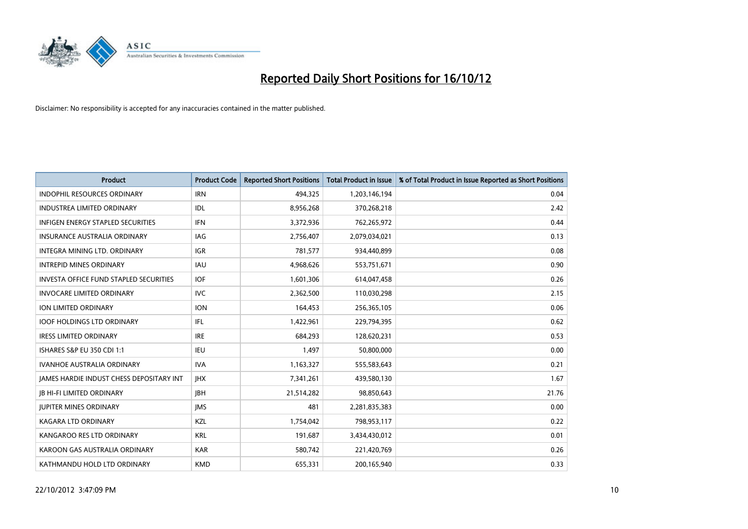

| <b>Product</b>                                  | <b>Product Code</b> | <b>Reported Short Positions</b> | <b>Total Product in Issue</b> | % of Total Product in Issue Reported as Short Positions |
|-------------------------------------------------|---------------------|---------------------------------|-------------------------------|---------------------------------------------------------|
| <b>INDOPHIL RESOURCES ORDINARY</b>              | <b>IRN</b>          | 494,325                         | 1,203,146,194                 | 0.04                                                    |
| INDUSTREA LIMITED ORDINARY                      | <b>IDL</b>          | 8,956,268                       | 370,268,218                   | 2.42                                                    |
| <b>INFIGEN ENERGY STAPLED SECURITIES</b>        | <b>IFN</b>          | 3,372,936                       | 762,265,972                   | 0.44                                                    |
| INSURANCE AUSTRALIA ORDINARY                    | IAG                 | 2,756,407                       | 2,079,034,021                 | 0.13                                                    |
| <b>INTEGRA MINING LTD, ORDINARY</b>             | <b>IGR</b>          | 781,577                         | 934,440,899                   | 0.08                                                    |
| <b>INTREPID MINES ORDINARY</b>                  | <b>IAU</b>          | 4,968,626                       | 553,751,671                   | 0.90                                                    |
| <b>INVESTA OFFICE FUND STAPLED SECURITIES</b>   | <b>IOF</b>          | 1,601,306                       | 614,047,458                   | 0.26                                                    |
| <b>INVOCARE LIMITED ORDINARY</b>                | <b>IVC</b>          | 2,362,500                       | 110,030,298                   | 2.15                                                    |
| ION LIMITED ORDINARY                            | <b>ION</b>          | 164,453                         | 256,365,105                   | 0.06                                                    |
| <b>IOOF HOLDINGS LTD ORDINARY</b>               | IFL                 | 1,422,961                       | 229,794,395                   | 0.62                                                    |
| <b>IRESS LIMITED ORDINARY</b>                   | <b>IRE</b>          | 684,293                         | 128,620,231                   | 0.53                                                    |
| <b>ISHARES S&amp;P EU 350 CDI 1:1</b>           | <b>IEU</b>          | 1,497                           | 50,800,000                    | 0.00                                                    |
| <b>IVANHOE AUSTRALIA ORDINARY</b>               | <b>IVA</b>          | 1,163,327                       | 555,583,643                   | 0.21                                                    |
| <b>JAMES HARDIE INDUST CHESS DEPOSITARY INT</b> | <b>IHX</b>          | 7,341,261                       | 439,580,130                   | 1.67                                                    |
| <b>JB HI-FI LIMITED ORDINARY</b>                | <b>IBH</b>          | 21,514,282                      | 98,850,643                    | 21.76                                                   |
| <b>JUPITER MINES ORDINARY</b>                   | <b>IMS</b>          | 481                             | 2,281,835,383                 | 0.00                                                    |
| KAGARA LTD ORDINARY                             | <b>KZL</b>          | 1,754,042                       | 798,953,117                   | 0.22                                                    |
| KANGAROO RES LTD ORDINARY                       | <b>KRL</b>          | 191,687                         | 3,434,430,012                 | 0.01                                                    |
| KAROON GAS AUSTRALIA ORDINARY                   | <b>KAR</b>          | 580,742                         | 221,420,769                   | 0.26                                                    |
| KATHMANDU HOLD LTD ORDINARY                     | <b>KMD</b>          | 655,331                         | 200,165,940                   | 0.33                                                    |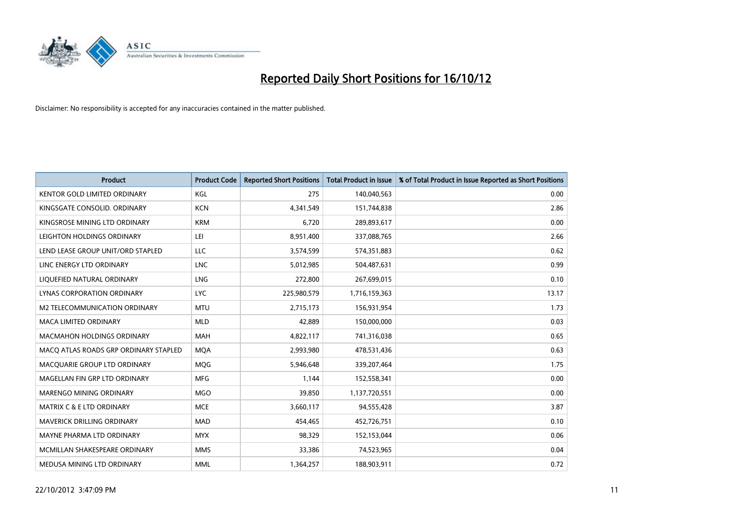

| <b>Product</b>                        | <b>Product Code</b> | <b>Reported Short Positions</b> | <b>Total Product in Issue</b> | % of Total Product in Issue Reported as Short Positions |
|---------------------------------------|---------------------|---------------------------------|-------------------------------|---------------------------------------------------------|
| <b>KENTOR GOLD LIMITED ORDINARY</b>   | KGL                 | 275                             | 140,040,563                   | 0.00                                                    |
| KINGSGATE CONSOLID. ORDINARY          | <b>KCN</b>          | 4,341,549                       | 151,744,838                   | 2.86                                                    |
| KINGSROSE MINING LTD ORDINARY         | <b>KRM</b>          | 6,720                           | 289,893,617                   | 0.00                                                    |
| LEIGHTON HOLDINGS ORDINARY            | LEI                 | 8,951,400                       | 337,088,765                   | 2.66                                                    |
| LEND LEASE GROUP UNIT/ORD STAPLED     | LLC                 | 3,574,599                       | 574,351,883                   | 0.62                                                    |
| LINC ENERGY LTD ORDINARY              | <b>LNC</b>          | 5,012,985                       | 504,487,631                   | 0.99                                                    |
| LIQUEFIED NATURAL ORDINARY            | <b>LNG</b>          | 272,800                         | 267,699,015                   | 0.10                                                    |
| LYNAS CORPORATION ORDINARY            | <b>LYC</b>          | 225,980,579                     | 1,716,159,363                 | 13.17                                                   |
| M2 TELECOMMUNICATION ORDINARY         | <b>MTU</b>          | 2,715,173                       | 156,931,954                   | 1.73                                                    |
| <b>MACA LIMITED ORDINARY</b>          | <b>MLD</b>          | 42,889                          | 150,000,000                   | 0.03                                                    |
| <b>MACMAHON HOLDINGS ORDINARY</b>     | <b>MAH</b>          | 4,822,117                       | 741,316,038                   | 0.65                                                    |
| MACQ ATLAS ROADS GRP ORDINARY STAPLED | <b>MQA</b>          | 2,993,980                       | 478,531,436                   | 0.63                                                    |
| MACQUARIE GROUP LTD ORDINARY          | <b>MOG</b>          | 5,946,648                       | 339,207,464                   | 1.75                                                    |
| MAGELLAN FIN GRP LTD ORDINARY         | <b>MFG</b>          | 1,144                           | 152,558,341                   | 0.00                                                    |
| <b>MARENGO MINING ORDINARY</b>        | <b>MGO</b>          | 39,850                          | 1,137,720,551                 | 0.00                                                    |
| MATRIX C & E LTD ORDINARY             | <b>MCE</b>          | 3,660,117                       | 94,555,428                    | 3.87                                                    |
| <b>MAVERICK DRILLING ORDINARY</b>     | <b>MAD</b>          | 454,465                         | 452,726,751                   | 0.10                                                    |
| MAYNE PHARMA LTD ORDINARY             | <b>MYX</b>          | 98,329                          | 152,153,044                   | 0.06                                                    |
| MCMILLAN SHAKESPEARE ORDINARY         | <b>MMS</b>          | 33,386                          | 74,523,965                    | 0.04                                                    |
| MEDUSA MINING LTD ORDINARY            | <b>MML</b>          | 1,364,257                       | 188,903,911                   | 0.72                                                    |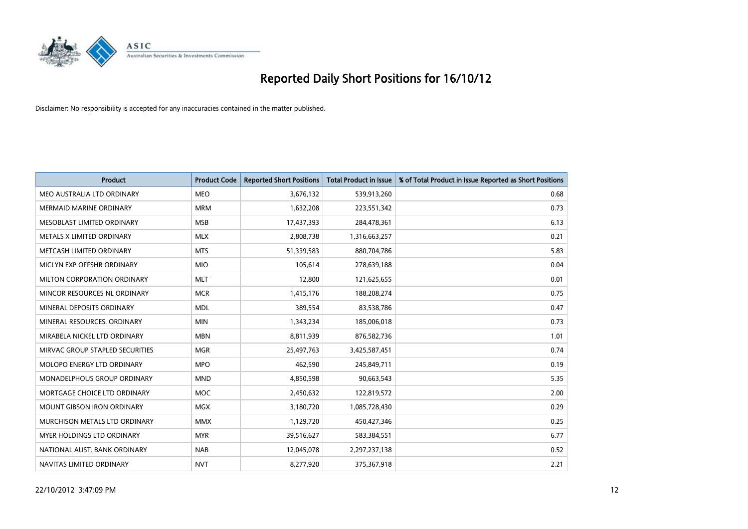

| <b>Product</b>                     | <b>Product Code</b> | <b>Reported Short Positions</b> | <b>Total Product in Issue</b> | % of Total Product in Issue Reported as Short Positions |
|------------------------------------|---------------------|---------------------------------|-------------------------------|---------------------------------------------------------|
| MEO AUSTRALIA LTD ORDINARY         | <b>MEO</b>          | 3,676,132                       | 539,913,260                   | 0.68                                                    |
| <b>MERMAID MARINE ORDINARY</b>     | <b>MRM</b>          | 1,632,208                       | 223,551,342                   | 0.73                                                    |
| MESOBLAST LIMITED ORDINARY         | <b>MSB</b>          | 17,437,393                      | 284,478,361                   | 6.13                                                    |
| METALS X LIMITED ORDINARY          | <b>MLX</b>          | 2,808,738                       | 1,316,663,257                 | 0.21                                                    |
| METCASH LIMITED ORDINARY           | <b>MTS</b>          | 51,339,583                      | 880,704,786                   | 5.83                                                    |
| MICLYN EXP OFFSHR ORDINARY         | <b>MIO</b>          | 105,614                         | 278,639,188                   | 0.04                                                    |
| <b>MILTON CORPORATION ORDINARY</b> | <b>MLT</b>          | 12,800                          | 121,625,655                   | 0.01                                                    |
| MINCOR RESOURCES NL ORDINARY       | <b>MCR</b>          | 1,415,176                       | 188,208,274                   | 0.75                                                    |
| MINERAL DEPOSITS ORDINARY          | <b>MDL</b>          | 389,554                         | 83,538,786                    | 0.47                                                    |
| MINERAL RESOURCES, ORDINARY        | <b>MIN</b>          | 1,343,234                       | 185,006,018                   | 0.73                                                    |
| MIRABELA NICKEL LTD ORDINARY       | <b>MBN</b>          | 8,811,939                       | 876,582,736                   | 1.01                                                    |
| MIRVAC GROUP STAPLED SECURITIES    | <b>MGR</b>          | 25,497,763                      | 3,425,587,451                 | 0.74                                                    |
| MOLOPO ENERGY LTD ORDINARY         | <b>MPO</b>          | 462,590                         | 245,849,711                   | 0.19                                                    |
| MONADELPHOUS GROUP ORDINARY        | <b>MND</b>          | 4,850,598                       | 90,663,543                    | 5.35                                                    |
| MORTGAGE CHOICE LTD ORDINARY       | <b>MOC</b>          | 2,450,632                       | 122,819,572                   | 2.00                                                    |
| MOUNT GIBSON IRON ORDINARY         | <b>MGX</b>          | 3,180,720                       | 1,085,728,430                 | 0.29                                                    |
| MURCHISON METALS LTD ORDINARY      | <b>MMX</b>          | 1,129,720                       | 450,427,346                   | 0.25                                                    |
| MYER HOLDINGS LTD ORDINARY         | <b>MYR</b>          | 39,516,627                      | 583,384,551                   | 6.77                                                    |
| NATIONAL AUST, BANK ORDINARY       | <b>NAB</b>          | 12,045,078                      | 2,297,237,138                 | 0.52                                                    |
| NAVITAS LIMITED ORDINARY           | <b>NVT</b>          | 8,277,920                       | 375,367,918                   | 2.21                                                    |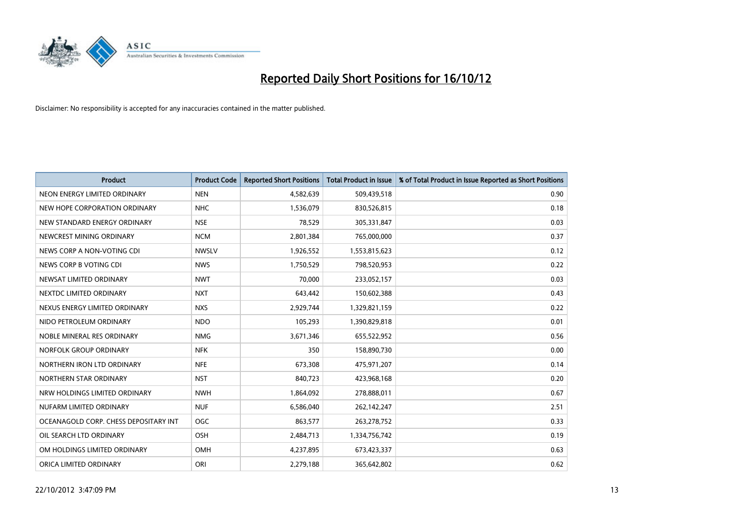

| <b>Product</b>                        | <b>Product Code</b> | <b>Reported Short Positions</b> | <b>Total Product in Issue</b> | % of Total Product in Issue Reported as Short Positions |
|---------------------------------------|---------------------|---------------------------------|-------------------------------|---------------------------------------------------------|
| NEON ENERGY LIMITED ORDINARY          | <b>NEN</b>          | 4,582,639                       | 509,439,518                   | 0.90                                                    |
| NEW HOPE CORPORATION ORDINARY         | <b>NHC</b>          | 1,536,079                       | 830,526,815                   | 0.18                                                    |
| NEW STANDARD ENERGY ORDINARY          | <b>NSE</b>          | 78,529                          | 305,331,847                   | 0.03                                                    |
| NEWCREST MINING ORDINARY              | <b>NCM</b>          | 2,801,384                       | 765,000,000                   | 0.37                                                    |
| NEWS CORP A NON-VOTING CDI            | <b>NWSLV</b>        | 1,926,552                       | 1,553,815,623                 | 0.12                                                    |
| NEWS CORP B VOTING CDI                | <b>NWS</b>          | 1,750,529                       | 798,520,953                   | 0.22                                                    |
| NEWSAT LIMITED ORDINARY               | <b>NWT</b>          | 70,000                          | 233,052,157                   | 0.03                                                    |
| NEXTDC LIMITED ORDINARY               | <b>NXT</b>          | 643,442                         | 150,602,388                   | 0.43                                                    |
| NEXUS ENERGY LIMITED ORDINARY         | <b>NXS</b>          | 2,929,744                       | 1,329,821,159                 | 0.22                                                    |
| NIDO PETROLEUM ORDINARY               | <b>NDO</b>          | 105,293                         | 1,390,829,818                 | 0.01                                                    |
| NOBLE MINERAL RES ORDINARY            | <b>NMG</b>          | 3,671,346                       | 655,522,952                   | 0.56                                                    |
| NORFOLK GROUP ORDINARY                | <b>NFK</b>          | 350                             | 158,890,730                   | 0.00                                                    |
| NORTHERN IRON LTD ORDINARY            | <b>NFE</b>          | 673,308                         | 475,971,207                   | 0.14                                                    |
| NORTHERN STAR ORDINARY                | <b>NST</b>          | 840,723                         | 423,968,168                   | 0.20                                                    |
| NRW HOLDINGS LIMITED ORDINARY         | <b>NWH</b>          | 1,864,092                       | 278,888,011                   | 0.67                                                    |
| NUFARM LIMITED ORDINARY               | <b>NUF</b>          | 6,586,040                       | 262,142,247                   | 2.51                                                    |
| OCEANAGOLD CORP. CHESS DEPOSITARY INT | <b>OGC</b>          | 863,577                         | 263,278,752                   | 0.33                                                    |
| OIL SEARCH LTD ORDINARY               | OSH                 | 2,484,713                       | 1,334,756,742                 | 0.19                                                    |
| OM HOLDINGS LIMITED ORDINARY          | OMH                 | 4,237,895                       | 673,423,337                   | 0.63                                                    |
| ORICA LIMITED ORDINARY                | ORI                 | 2,279,188                       | 365,642,802                   | 0.62                                                    |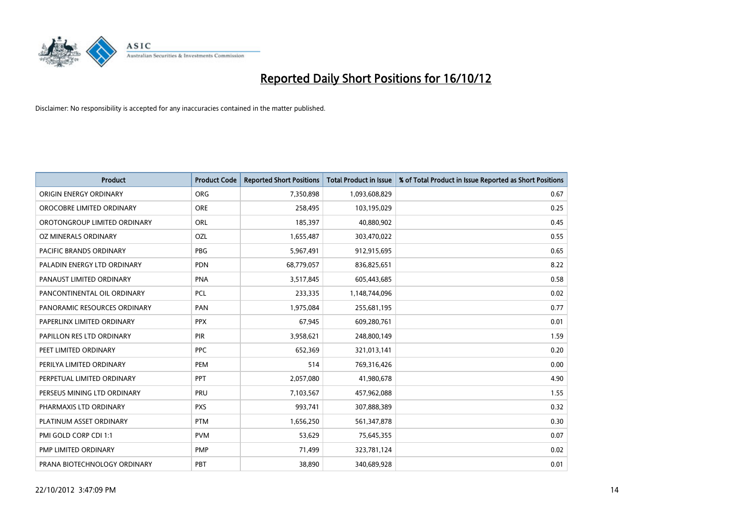

| <b>Product</b>               | <b>Product Code</b> | <b>Reported Short Positions</b> | <b>Total Product in Issue</b> | % of Total Product in Issue Reported as Short Positions |
|------------------------------|---------------------|---------------------------------|-------------------------------|---------------------------------------------------------|
| ORIGIN ENERGY ORDINARY       | <b>ORG</b>          | 7,350,898                       | 1,093,608,829                 | 0.67                                                    |
| OROCOBRE LIMITED ORDINARY    | <b>ORE</b>          | 258,495                         | 103,195,029                   | 0.25                                                    |
| OROTONGROUP LIMITED ORDINARY | ORL                 | 185,397                         | 40,880,902                    | 0.45                                                    |
| OZ MINERALS ORDINARY         | OZL                 | 1,655,487                       | 303,470,022                   | 0.55                                                    |
| PACIFIC BRANDS ORDINARY      | <b>PBG</b>          | 5,967,491                       | 912,915,695                   | 0.65                                                    |
| PALADIN ENERGY LTD ORDINARY  | <b>PDN</b>          | 68,779,057                      | 836,825,651                   | 8.22                                                    |
| PANAUST LIMITED ORDINARY     | <b>PNA</b>          | 3,517,845                       | 605,443,685                   | 0.58                                                    |
| PANCONTINENTAL OIL ORDINARY  | PCL                 | 233,335                         | 1,148,744,096                 | 0.02                                                    |
| PANORAMIC RESOURCES ORDINARY | PAN                 | 1,975,084                       | 255,681,195                   | 0.77                                                    |
| PAPERLINX LIMITED ORDINARY   | <b>PPX</b>          | 67,945                          | 609,280,761                   | 0.01                                                    |
| PAPILLON RES LTD ORDINARY    | <b>PIR</b>          | 3,958,621                       | 248,800,149                   | 1.59                                                    |
| PEET LIMITED ORDINARY        | <b>PPC</b>          | 652,369                         | 321,013,141                   | 0.20                                                    |
| PERILYA LIMITED ORDINARY     | PEM                 | 514                             | 769,316,426                   | 0.00                                                    |
| PERPETUAL LIMITED ORDINARY   | <b>PPT</b>          | 2,057,080                       | 41,980,678                    | 4.90                                                    |
| PERSEUS MINING LTD ORDINARY  | PRU                 | 7,103,567                       | 457,962,088                   | 1.55                                                    |
| PHARMAXIS LTD ORDINARY       | <b>PXS</b>          | 993,741                         | 307,888,389                   | 0.32                                                    |
| PLATINUM ASSET ORDINARY      | <b>PTM</b>          | 1,656,250                       | 561,347,878                   | 0.30                                                    |
| PMI GOLD CORP CDI 1:1        | <b>PVM</b>          | 53,629                          | 75,645,355                    | 0.07                                                    |
| PMP LIMITED ORDINARY         | <b>PMP</b>          | 71,499                          | 323,781,124                   | 0.02                                                    |
| PRANA BIOTECHNOLOGY ORDINARY | PBT                 | 38,890                          | 340,689,928                   | 0.01                                                    |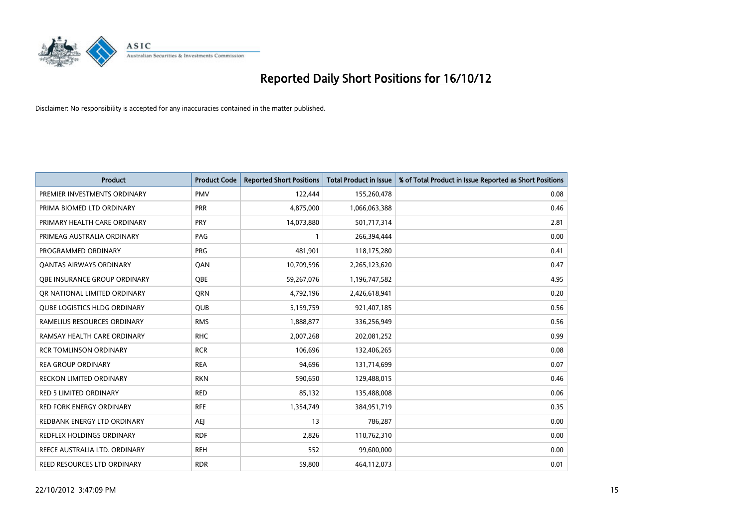

| <b>Product</b>                      | <b>Product Code</b> | <b>Reported Short Positions</b> | <b>Total Product in Issue</b> | % of Total Product in Issue Reported as Short Positions |
|-------------------------------------|---------------------|---------------------------------|-------------------------------|---------------------------------------------------------|
| PREMIER INVESTMENTS ORDINARY        | <b>PMV</b>          | 122,444                         | 155,260,478                   | 0.08                                                    |
| PRIMA BIOMED LTD ORDINARY           | <b>PRR</b>          | 4,875,000                       | 1,066,063,388                 | 0.46                                                    |
| PRIMARY HEALTH CARE ORDINARY        | PRY                 | 14,073,880                      | 501,717,314                   | 2.81                                                    |
| PRIMEAG AUSTRALIA ORDINARY          | PAG                 | 1                               | 266,394,444                   | 0.00                                                    |
| PROGRAMMED ORDINARY                 | PRG                 | 481,901                         | 118,175,280                   | 0.41                                                    |
| <b>QANTAS AIRWAYS ORDINARY</b>      | QAN                 | 10,709,596                      | 2,265,123,620                 | 0.47                                                    |
| <b>OBE INSURANCE GROUP ORDINARY</b> | <b>OBE</b>          | 59,267,076                      | 1,196,747,582                 | 4.95                                                    |
| OR NATIONAL LIMITED ORDINARY        | <b>ORN</b>          | 4,792,196                       | 2,426,618,941                 | 0.20                                                    |
| <b>QUBE LOGISTICS HLDG ORDINARY</b> | QUB                 | 5,159,759                       | 921,407,185                   | 0.56                                                    |
| RAMELIUS RESOURCES ORDINARY         | <b>RMS</b>          | 1,888,877                       | 336,256,949                   | 0.56                                                    |
| RAMSAY HEALTH CARE ORDINARY         | <b>RHC</b>          | 2,007,268                       | 202,081,252                   | 0.99                                                    |
| <b>RCR TOMLINSON ORDINARY</b>       | <b>RCR</b>          | 106,696                         | 132,406,265                   | 0.08                                                    |
| <b>REA GROUP ORDINARY</b>           | <b>REA</b>          | 94,696                          | 131,714,699                   | 0.07                                                    |
| <b>RECKON LIMITED ORDINARY</b>      | <b>RKN</b>          | 590,650                         | 129,488,015                   | 0.46                                                    |
| <b>RED 5 LIMITED ORDINARY</b>       | <b>RED</b>          | 85,132                          | 135,488,008                   | 0.06                                                    |
| RED FORK ENERGY ORDINARY            | <b>RFE</b>          | 1,354,749                       | 384,951,719                   | 0.35                                                    |
| REDBANK ENERGY LTD ORDINARY         | AEJ                 | 13                              | 786,287                       | 0.00                                                    |
| REDFLEX HOLDINGS ORDINARY           | <b>RDF</b>          | 2,826                           | 110,762,310                   | 0.00                                                    |
| REECE AUSTRALIA LTD. ORDINARY       | <b>REH</b>          | 552                             | 99,600,000                    | 0.00                                                    |
| REED RESOURCES LTD ORDINARY         | <b>RDR</b>          | 59.800                          | 464.112.073                   | 0.01                                                    |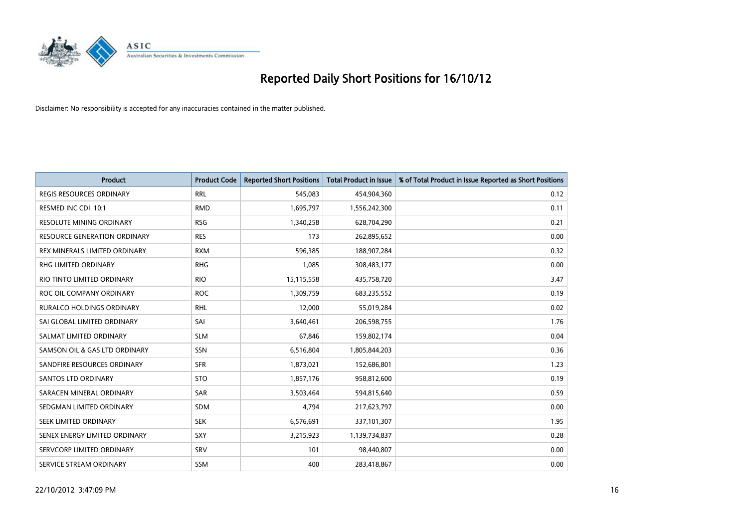

| <b>Product</b>                  | <b>Product Code</b> | <b>Reported Short Positions</b> | <b>Total Product in Issue</b> | % of Total Product in Issue Reported as Short Positions |
|---------------------------------|---------------------|---------------------------------|-------------------------------|---------------------------------------------------------|
| <b>REGIS RESOURCES ORDINARY</b> | <b>RRL</b>          | 545,083                         | 454,904,360                   | 0.12                                                    |
| RESMED INC CDI 10:1             | <b>RMD</b>          | 1,695,797                       | 1,556,242,300                 | 0.11                                                    |
| <b>RESOLUTE MINING ORDINARY</b> | <b>RSG</b>          | 1,340,258                       | 628,704,290                   | 0.21                                                    |
| RESOURCE GENERATION ORDINARY    | <b>RES</b>          | 173                             | 262,895,652                   | 0.00                                                    |
| REX MINERALS LIMITED ORDINARY   | <b>RXM</b>          | 596,385                         | 188,907,284                   | 0.32                                                    |
| RHG LIMITED ORDINARY            | <b>RHG</b>          | 1,085                           | 308,483,177                   | 0.00                                                    |
| RIO TINTO LIMITED ORDINARY      | <b>RIO</b>          | 15,115,558                      | 435,758,720                   | 3.47                                                    |
| ROC OIL COMPANY ORDINARY        | <b>ROC</b>          | 1,309,759                       | 683,235,552                   | 0.19                                                    |
| RURALCO HOLDINGS ORDINARY       | <b>RHL</b>          | 12,000                          | 55,019,284                    | 0.02                                                    |
| SAI GLOBAL LIMITED ORDINARY     | SAI                 | 3,640,461                       | 206,598,755                   | 1.76                                                    |
| SALMAT LIMITED ORDINARY         | <b>SLM</b>          | 67,846                          | 159,802,174                   | 0.04                                                    |
| SAMSON OIL & GAS LTD ORDINARY   | SSN                 | 6,516,804                       | 1,805,844,203                 | 0.36                                                    |
| SANDFIRE RESOURCES ORDINARY     | <b>SFR</b>          | 1,873,021                       | 152,686,801                   | 1.23                                                    |
| <b>SANTOS LTD ORDINARY</b>      | <b>STO</b>          | 1,857,176                       | 958,812,600                   | 0.19                                                    |
| SARACEN MINERAL ORDINARY        | <b>SAR</b>          | 3,503,464                       | 594,815,640                   | 0.59                                                    |
| SEDGMAN LIMITED ORDINARY        | SDM                 | 4,794                           | 217,623,797                   | 0.00                                                    |
| <b>SEEK LIMITED ORDINARY</b>    | <b>SEK</b>          | 6,576,691                       | 337,101,307                   | 1.95                                                    |
| SENEX ENERGY LIMITED ORDINARY   | <b>SXY</b>          | 3,215,923                       | 1,139,734,837                 | 0.28                                                    |
| SERVCORP LIMITED ORDINARY       | SRV                 | 101                             | 98,440,807                    | 0.00                                                    |
| SERVICE STREAM ORDINARY         | <b>SSM</b>          | 400                             | 283,418,867                   | 0.00                                                    |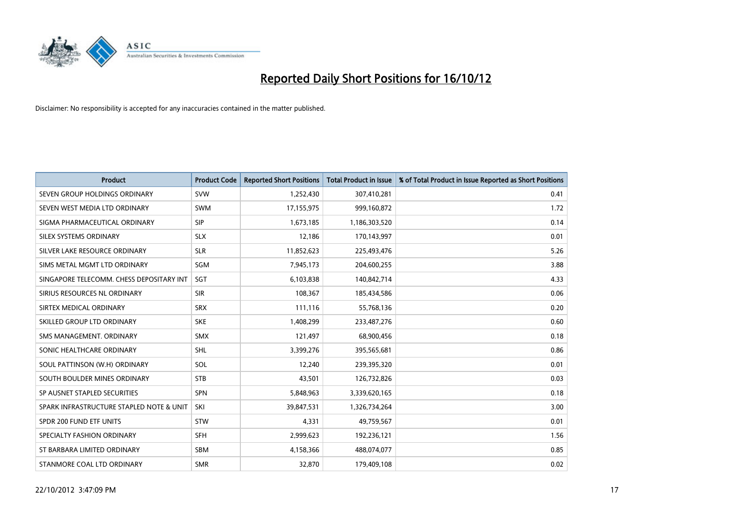

| <b>Product</b>                           | <b>Product Code</b> | <b>Reported Short Positions</b> | <b>Total Product in Issue</b> | % of Total Product in Issue Reported as Short Positions |
|------------------------------------------|---------------------|---------------------------------|-------------------------------|---------------------------------------------------------|
| SEVEN GROUP HOLDINGS ORDINARY            | <b>SVW</b>          | 1,252,430                       | 307,410,281                   | 0.41                                                    |
| SEVEN WEST MEDIA LTD ORDINARY            | <b>SWM</b>          | 17,155,975                      | 999,160,872                   | 1.72                                                    |
| SIGMA PHARMACEUTICAL ORDINARY            | <b>SIP</b>          | 1,673,185                       | 1,186,303,520                 | 0.14                                                    |
| SILEX SYSTEMS ORDINARY                   | <b>SLX</b>          | 12,186                          | 170,143,997                   | 0.01                                                    |
| SILVER LAKE RESOURCE ORDINARY            | <b>SLR</b>          | 11,852,623                      | 225,493,476                   | 5.26                                                    |
| SIMS METAL MGMT LTD ORDINARY             | SGM                 | 7,945,173                       | 204,600,255                   | 3.88                                                    |
| SINGAPORE TELECOMM. CHESS DEPOSITARY INT | <b>SGT</b>          | 6,103,838                       | 140,842,714                   | 4.33                                                    |
| SIRIUS RESOURCES NL ORDINARY             | <b>SIR</b>          | 108,367                         | 185,434,586                   | 0.06                                                    |
| SIRTEX MEDICAL ORDINARY                  | <b>SRX</b>          | 111,116                         | 55,768,136                    | 0.20                                                    |
| SKILLED GROUP LTD ORDINARY               | <b>SKE</b>          | 1,408,299                       | 233,487,276                   | 0.60                                                    |
| SMS MANAGEMENT. ORDINARY                 | <b>SMX</b>          | 121,497                         | 68,900,456                    | 0.18                                                    |
| SONIC HEALTHCARE ORDINARY                | <b>SHL</b>          | 3,399,276                       | 395,565,681                   | 0.86                                                    |
| SOUL PATTINSON (W.H) ORDINARY            | SOL                 | 12,240                          | 239,395,320                   | 0.01                                                    |
| SOUTH BOULDER MINES ORDINARY             | <b>STB</b>          | 43,501                          | 126,732,826                   | 0.03                                                    |
| SP AUSNET STAPLED SECURITIES             | <b>SPN</b>          | 5,848,963                       | 3,339,620,165                 | 0.18                                                    |
| SPARK INFRASTRUCTURE STAPLED NOTE & UNIT | SKI                 | 39,847,531                      | 1,326,734,264                 | 3.00                                                    |
| SPDR 200 FUND ETF UNITS                  | <b>STW</b>          | 4,331                           | 49,759,567                    | 0.01                                                    |
| SPECIALTY FASHION ORDINARY               | <b>SFH</b>          | 2,999,623                       | 192,236,121                   | 1.56                                                    |
| ST BARBARA LIMITED ORDINARY              | SBM                 | 4,158,366                       | 488,074,077                   | 0.85                                                    |
| STANMORE COAL LTD ORDINARY               | <b>SMR</b>          | 32,870                          | 179,409,108                   | 0.02                                                    |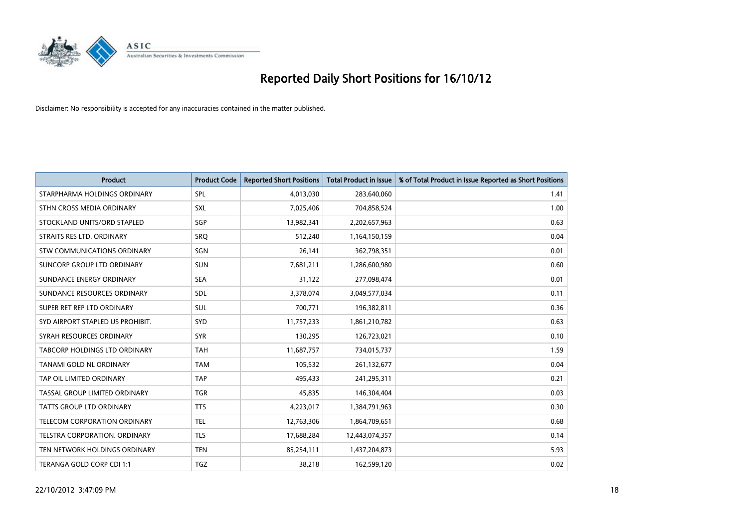

| <b>Product</b>                       | <b>Product Code</b> | <b>Reported Short Positions</b> | <b>Total Product in Issue</b> | % of Total Product in Issue Reported as Short Positions |
|--------------------------------------|---------------------|---------------------------------|-------------------------------|---------------------------------------------------------|
| STARPHARMA HOLDINGS ORDINARY         | SPL                 | 4,013,030                       | 283,640,060                   | 1.41                                                    |
| STHN CROSS MEDIA ORDINARY            | <b>SXL</b>          | 7,025,406                       | 704,858,524                   | 1.00                                                    |
| STOCKLAND UNITS/ORD STAPLED          | SGP                 | 13,982,341                      | 2,202,657,963                 | 0.63                                                    |
| STRAITS RES LTD. ORDINARY            | SRQ                 | 512,240                         | 1,164,150,159                 | 0.04                                                    |
| STW COMMUNICATIONS ORDINARY          | SGN                 | 26,141                          | 362,798,351                   | 0.01                                                    |
| SUNCORP GROUP LTD ORDINARY           | <b>SUN</b>          | 7,681,211                       | 1,286,600,980                 | 0.60                                                    |
| SUNDANCE ENERGY ORDINARY             | <b>SEA</b>          | 31,122                          | 277,098,474                   | 0.01                                                    |
| SUNDANCE RESOURCES ORDINARY          | <b>SDL</b>          | 3,378,074                       | 3,049,577,034                 | 0.11                                                    |
| SUPER RET REP LTD ORDINARY           | <b>SUL</b>          | 700,771                         | 196,382,811                   | 0.36                                                    |
| SYD AIRPORT STAPLED US PROHIBIT.     | <b>SYD</b>          | 11,757,233                      | 1,861,210,782                 | 0.63                                                    |
| SYRAH RESOURCES ORDINARY             | <b>SYR</b>          | 130,295                         | 126,723,021                   | 0.10                                                    |
| <b>TABCORP HOLDINGS LTD ORDINARY</b> | <b>TAH</b>          | 11,687,757                      | 734,015,737                   | 1.59                                                    |
| TANAMI GOLD NL ORDINARY              | <b>TAM</b>          | 105,532                         | 261,132,677                   | 0.04                                                    |
| TAP OIL LIMITED ORDINARY             | <b>TAP</b>          | 495,433                         | 241,295,311                   | 0.21                                                    |
| TASSAL GROUP LIMITED ORDINARY        | <b>TGR</b>          | 45,835                          | 146,304,404                   | 0.03                                                    |
| TATTS GROUP LTD ORDINARY             | <b>TTS</b>          | 4,223,017                       | 1,384,791,963                 | 0.30                                                    |
| TELECOM CORPORATION ORDINARY         | <b>TEL</b>          | 12,763,306                      | 1,864,709,651                 | 0.68                                                    |
| TELSTRA CORPORATION. ORDINARY        | <b>TLS</b>          | 17,688,284                      | 12,443,074,357                | 0.14                                                    |
| TEN NETWORK HOLDINGS ORDINARY        | <b>TEN</b>          | 85,254,111                      | 1,437,204,873                 | 5.93                                                    |
| TERANGA GOLD CORP CDI 1:1            | <b>TGZ</b>          | 38,218                          | 162,599,120                   | 0.02                                                    |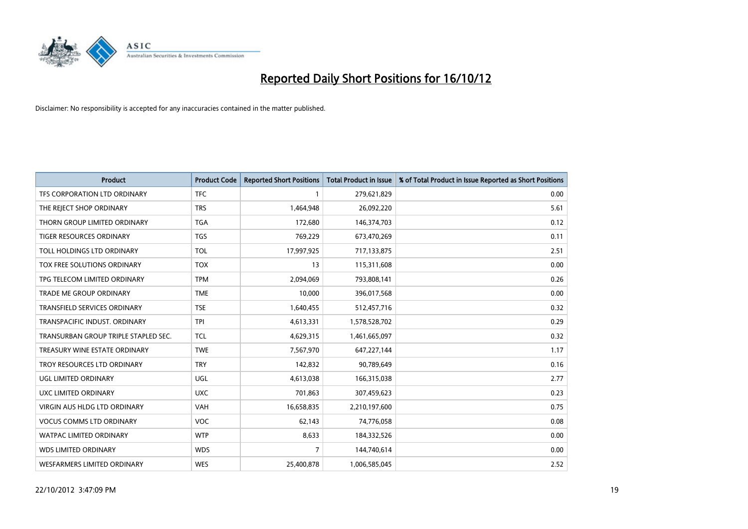

| <b>Product</b>                       | <b>Product Code</b> | <b>Reported Short Positions</b> | <b>Total Product in Issue</b> | % of Total Product in Issue Reported as Short Positions |
|--------------------------------------|---------------------|---------------------------------|-------------------------------|---------------------------------------------------------|
| TFS CORPORATION LTD ORDINARY         | <b>TFC</b>          |                                 | 279,621,829                   | 0.00                                                    |
| THE REJECT SHOP ORDINARY             | <b>TRS</b>          | 1,464,948                       | 26,092,220                    | 5.61                                                    |
| THORN GROUP LIMITED ORDINARY         | <b>TGA</b>          | 172,680                         | 146,374,703                   | 0.12                                                    |
| TIGER RESOURCES ORDINARY             | <b>TGS</b>          | 769,229                         | 673,470,269                   | 0.11                                                    |
| TOLL HOLDINGS LTD ORDINARY           | <b>TOL</b>          | 17,997,925                      | 717,133,875                   | 2.51                                                    |
| TOX FREE SOLUTIONS ORDINARY          | <b>TOX</b>          | 13                              | 115,311,608                   | 0.00                                                    |
| TPG TELECOM LIMITED ORDINARY         | <b>TPM</b>          | 2,094,069                       | 793,808,141                   | 0.26                                                    |
| <b>TRADE ME GROUP ORDINARY</b>       | <b>TME</b>          | 10.000                          | 396,017,568                   | 0.00                                                    |
| <b>TRANSFIELD SERVICES ORDINARY</b>  | <b>TSE</b>          | 1,640,455                       | 512,457,716                   | 0.32                                                    |
| TRANSPACIFIC INDUST, ORDINARY        | <b>TPI</b>          | 4,613,331                       | 1,578,528,702                 | 0.29                                                    |
| TRANSURBAN GROUP TRIPLE STAPLED SEC. | <b>TCL</b>          | 4,629,315                       | 1,461,665,097                 | 0.32                                                    |
| TREASURY WINE ESTATE ORDINARY        | <b>TWE</b>          | 7,567,970                       | 647, 227, 144                 | 1.17                                                    |
| TROY RESOURCES LTD ORDINARY          | <b>TRY</b>          | 142,832                         | 90,789,649                    | 0.16                                                    |
| UGL LIMITED ORDINARY                 | UGL                 | 4,613,038                       | 166,315,038                   | 2.77                                                    |
| UXC LIMITED ORDINARY                 | <b>UXC</b>          | 701,863                         | 307,459,623                   | 0.23                                                    |
| <b>VIRGIN AUS HLDG LTD ORDINARY</b>  | VAH                 | 16,658,835                      | 2,210,197,600                 | 0.75                                                    |
| <b>VOCUS COMMS LTD ORDINARY</b>      | <b>VOC</b>          | 62,143                          | 74,776,058                    | 0.08                                                    |
| WATPAC LIMITED ORDINARY              | <b>WTP</b>          | 8,633                           | 184,332,526                   | 0.00                                                    |
| <b>WDS LIMITED ORDINARY</b>          | <b>WDS</b>          | $\overline{7}$                  | 144,740,614                   | 0.00                                                    |
| WESFARMERS LIMITED ORDINARY          | <b>WES</b>          | 25,400,878                      | 1,006,585,045                 | 2.52                                                    |